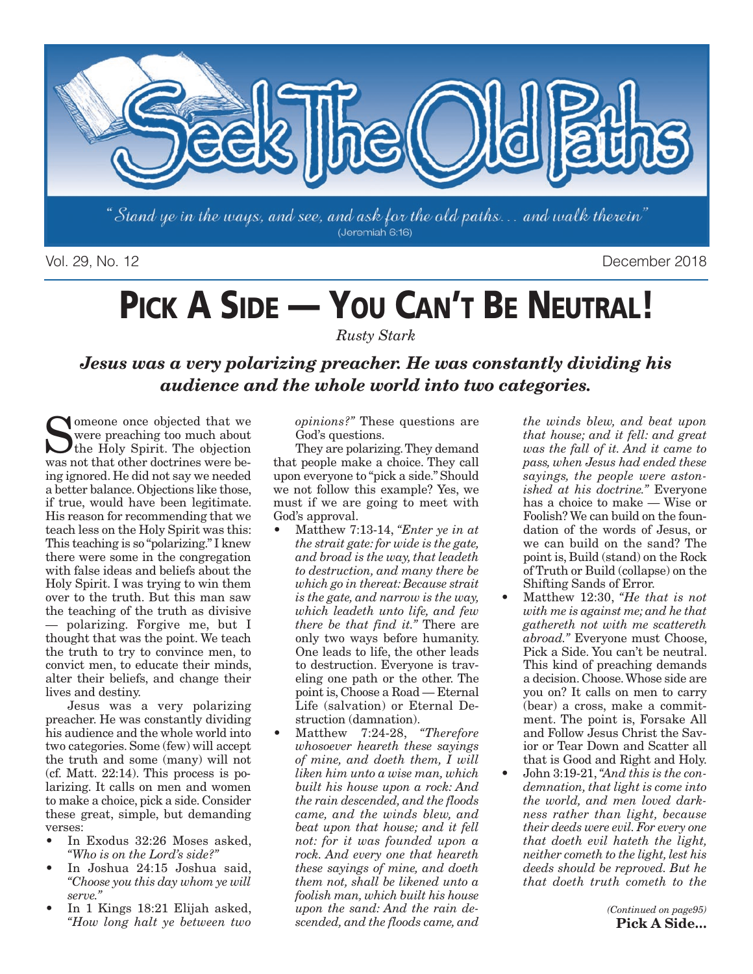

Vol. 29, No. 12 December 2018

# PICK A SIDE - YOU CAN'T BE NEUTRAL!

*Rusty Stark*

*Jesus was a very polarizing preacher. He was constantly dividing his audience and the whole world into two categories.*

I omeone once objected that we were preaching too much about the Holy Spirit. The objection was not that other doctrines were being ignored. He did not say we needed a better balance. Objections like those, if true, would have been legitimate. His reason for recommending that we teach less on the Holy Spirit was this: This teaching is so "polarizing." I knew there were some in the congregation with false ideas and beliefs about the Holy Spirit. I was trying to win them over to the truth. But this man saw the teaching of the truth as divisive — polarizing. Forgive me, but I thought that was the point. We teach the truth to try to convince men, to convict men, to educate their minds, alter their beliefs, and change their lives and destiny.

Jesus was a very polarizing preacher. He was constantly dividing his audience and the whole world into two categories. Some (few) will accept the truth and some (many) will not (cf. Matt. 22:14). This process is polarizing. It calls on men and women to make a choice, pick a side. Consider these great, simple, but demanding verses:

- In Exodus 32:26 Moses asked. *"Who is on the Lord's side?"*
- In Joshua 24:15 Joshua said, *"Choose you this day whom ye will serve."*
- In 1 Kings 18:21 Elijah asked, *"How long halt ye between two*

*opinions?"* These questions are God's questions.

They are polarizing. They demand that people make a choice. They call upon everyone to "pick a side." Should we not follow this example? Yes, we must if we are going to meet with God's approval.

- Matthew 7:13-14, *"Enter ye in at the strait gate: for wide is the gate, and broad is the way, that leadeth to destruction, and many there be which go in thereat: Because strait is the gate, and narrow is the way, which leadeth unto life, and few there be that find it."* There are only two ways before humanity. One leads to life, the other leads to destruction. Everyone is traveling one path or the other. The point is, Choose a Road — Eternal Life (salvation) or Eternal Destruction (damnation).
- Matthew 7:24-28, *"Therefore whosoever heareth these sayings of mine, and doeth them, I will liken him unto a wise man, which built his house upon a rock: And the rain descended, and the floods came, and the winds blew, and beat upon that house; and it fell not: for it was founded upon a rock. And every one that heareth these sayings of mine, and doeth them not, shall be likened unto a foolish man, which built his house upon the sand: And the rain descended, and the floods came, and*

*the winds blew, and beat upon that house; and it fell: and great was the fall of it. And it came to pass, when Jesus had ended these sayings, the people were astonished at his doctrine."* Everyone has a choice to make — Wise or Foolish? We can build on the foundation of the words of Jesus, or we can build on the sand? The point is, Build (stand) on the Rock of Truth or Build (collapse) on the Shifting Sands of Error.

- Matthew 12:30, *"He that is not with me is against me; and he that gathereth not with me scattereth abroad."* Everyone must Choose, Pick a Side. You can't be neutral. This kind of preaching demands a decision. Choose. Whose side are you on? It calls on men to carry (bear) a cross, make a commitment. The point is, Forsake All and Follow Jesus Christ the Savior or Tear Down and Scatter all that is Good and Right and Holy.
- John 3:19-21, *"And this is the condemnation, that light is come into the world, and men loved darkness rather than light, because their deeds were evil. For every one that doeth evil hateth the light, neither cometh to the light, lest his deeds should be reproved. But he that doeth truth cometh to the*

*(Continued on page95)* **Pick A Side…**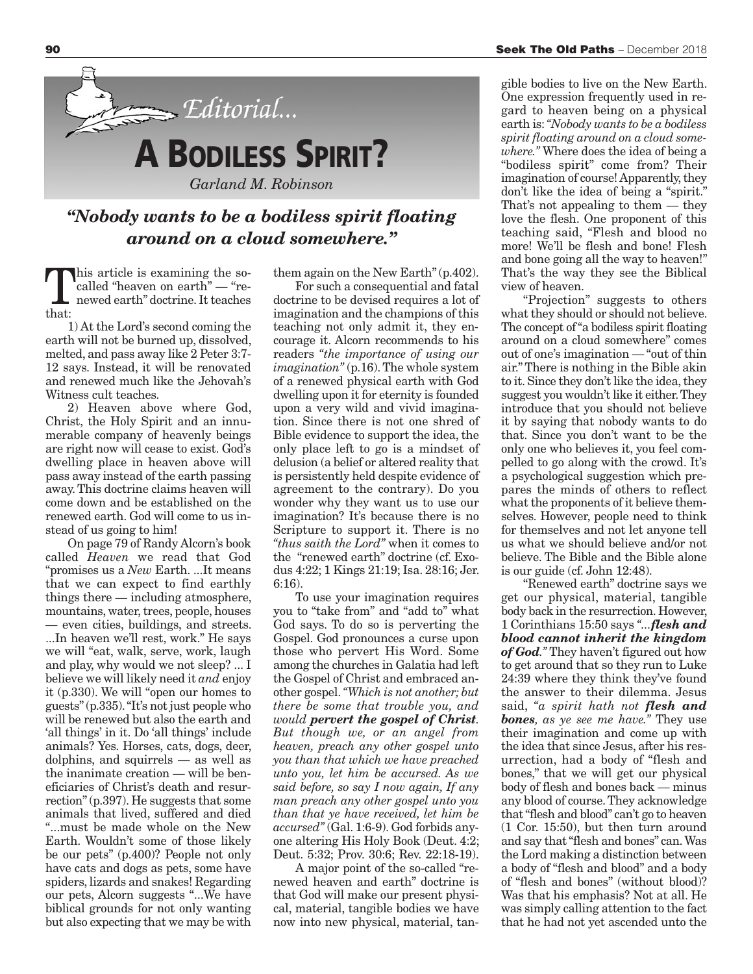

### *"Nobody wants to be a bodiless spirit floating around on a cloud somewhere."*

This article is examining the so-<br>called "heaven on earth" — "re-<br>newed earth" doctrine. It teaches called "heaven on earth" — "renewed earth" doctrine. It teaches that:

1) At the Lord's second coming the earth will not be burned up, dissolved, melted, and pass away like 2 Peter 3:7- 12 says. Instead, it will be renovated and renewed much like the Jehovah's Witness cult teaches.

2) Heaven above where God, Christ, the Holy Spirit and an innumerable company of heavenly beings are right now will cease to exist. God's dwelling place in heaven above will pass away instead of the earth passing away. This doctrine claims heaven will come down and be established on the renewed earth. God will come to us instead of us going to him!

On page 79 of Randy Alcorn's book called *Heaven* we read that God "promises us a *New* Earth. ...It means that we can expect to find earthly things there — including atmosphere, mountains, water, trees, people, houses — even cities, buildings, and streets. ...In heaven we'll rest, work." He says we will "eat, walk, serve, work, laugh and play, why would we not sleep? ... I believe we will likely need it *and* enjoy it (p.330). We will "open our homes to guests" (p.335). "It's not just people who will be renewed but also the earth and 'all things' in it. Do 'all things' include animals? Yes. Horses, cats, dogs, deer, dolphins, and squirrels — as well as the inanimate creation — will be beneficiaries of Christ's death and resurrection" (p.397). He suggests that some animals that lived, suffered and died "...must be made whole on the New Earth. Wouldn't some of those likely be our pets" (p.400)? People not only have cats and dogs as pets, some have spiders, lizards and snakes! Regarding our pets, Alcorn suggests "...We have biblical grounds for not only wanting but also expecting that we may be with

them again on the New Earth" (p.402).

For such a consequential and fatal doctrine to be devised requires a lot of imagination and the champions of this teaching not only admit it, they encourage it. Alcorn recommends to his readers *"the importance of using our imagination"* (p.16). The whole system of a renewed physical earth with God dwelling upon it for eternity is founded upon a very wild and vivid imagination. Since there is not one shred of Bible evidence to support the idea, the only place left to go is a mindset of delusion (a belief or altered reality that is persistently held despite evidence of agreement to the contrary). Do you wonder why they want us to use our imagination? It's because there is no Scripture to support it. There is no *"thus saith the Lord"* when it comes to the "renewed earth" doctrine (cf. Exodus 4:22; 1 Kings 21:19; Isa. 28:16; Jer. 6:16).

To use your imagination requires you to "take from" and "add to" what God says. To do so is perverting the Gospel. God pronounces a curse upon those who pervert His Word. Some among the churches in Galatia had left the Gospel of Christ and embraced another gospel. *"Which is not another; but there be some that trouble you, and would pervert the gospel of Christ. But though we, or an angel from heaven, preach any other gospel unto you than that which we have preached unto you, let him be accursed. As we said before, so say I now again, If any man preach any other gospel unto you than that ye have received, let him be accursed"* (Gal. 1:6-9). God forbids anyone altering His Holy Book (Deut. 4:2; Deut. 5:32; Prov. 30:6; Rev. 22:18-19).

A major point of the so-called "renewed heaven and earth" doctrine is that God will make our present physical, material, tangible bodies we have now into new physical, material, tan-

gible bodies to live on the New Earth. One expression frequently used in regard to heaven being on a physical earth is: *"Nobody wants to be a bodiless spirit floating around on a cloud somewhere."* Where does the idea of being a "bodiless spirit" come from? Their imagination of course! Apparently, they don't like the idea of being a "spirit." That's not appealing to them — they love the flesh. One proponent of this teaching said, "Flesh and blood no more! We'll be flesh and bone! Flesh and bone going all the way to heaven!" That's the way they see the Biblical view of heaven.

"Projection" suggests to others what they should or should not believe. The concept of "a bodiless spirit floating around on a cloud somewhere" comes out of one's imagination — "out of thin air." There is nothing in the Bible akin to it. Since they don't like the idea, they suggest you wouldn't like it either. They introduce that you should not believe it by saying that nobody wants to do that. Since you don't want to be the only one who believes it, you feel compelled to go along with the crowd. It's a psychological suggestion which prepares the minds of others to reflect what the proponents of it believe themselves. However, people need to think for themselves and not let anyone tell us what we should believe and/or not believe. The Bible and the Bible alone is our guide (cf. John 12:48).

"Renewed earth" doctrine says we get our physical, material, tangible body back in the resurrection. However, 1 Corinthians 15:50 says *"...flesh and blood cannot inherit the kingdom of God."* They haven't figured out how to get around that so they run to Luke 24:39 where they think they've found the answer to their dilemma. Jesus said, *"a spirit hath not flesh and bones, as ye see me have."* They use their imagination and come up with the idea that since Jesus, after his resurrection, had a body of "flesh and bones," that we will get our physical body of flesh and bones back — minus any blood of course. They acknowledge that "flesh and blood" can't go to heaven (1 Cor. 15:50), but then turn around and say that "flesh and bones" can. Was the Lord making a distinction between a body of "flesh and blood" and a body of "flesh and bones" (without blood)? Was that his emphasis? Not at all. He was simply calling attention to the fact that he had not yet ascended unto the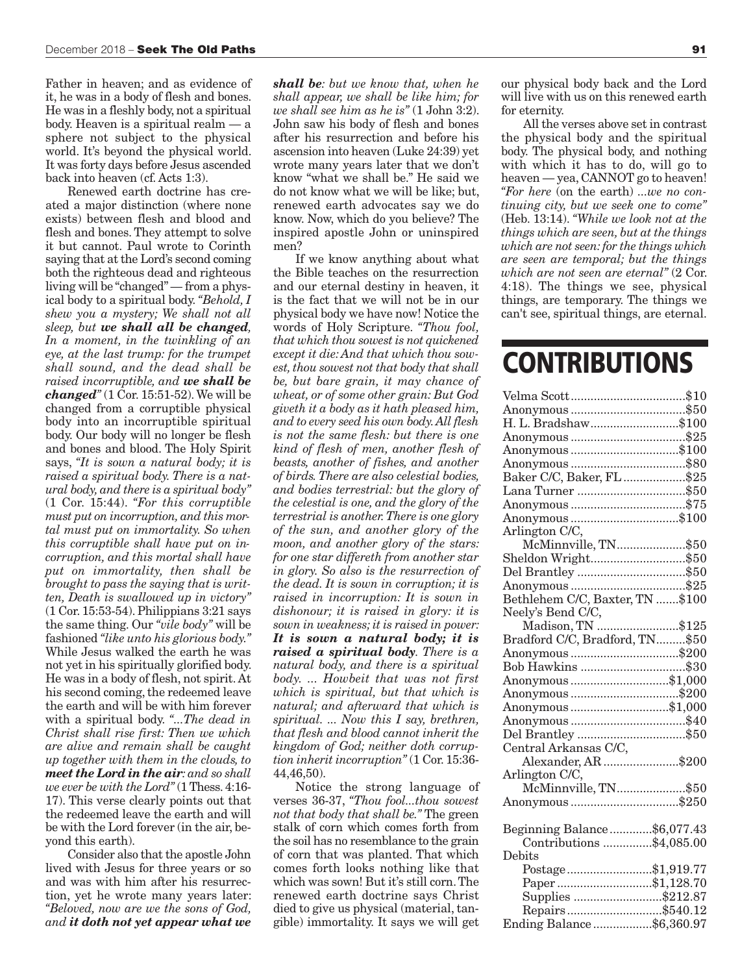Father in heaven; and as evidence of it, he was in a body of flesh and bones. He was in a fleshly body, not a spiritual body. Heaven is a spiritual realm — a sphere not subject to the physical world. It's beyond the physical world. It was forty days before Jesus ascended back into heaven (cf. Acts 1:3).

Renewed earth doctrine has created a major distinction (where none exists) between flesh and blood and flesh and bones. They attempt to solve it but cannot. Paul wrote to Corinth saying that at the Lord's second coming both the righteous dead and righteous living will be "changed" — from a physical body to a spiritual body. *"Behold, I shew you a mystery; We shall not all sleep, but we shall all be changed, In a moment, in the twinkling of an eye, at the last trump: for the trumpet shall sound, and the dead shall be raised incorruptible, and we shall be changed"* (1 Cor. 15:51-52). We will be changed from a corruptible physical body into an incorruptible spiritual body. Our body will no longer be flesh and bones and blood. The Holy Spirit says, *"It is sown a natural body; it is raised a spiritual body. There is a natural body, and there is a spiritual body"* (1 Cor. 15:44). *"For this corruptible must put on incorruption, and this mortal must put on immortality. So when this corruptible shall have put on incorruption, and this mortal shall have put on immortality, then shall be brought to pass the saying that is written, Death is swallowed up in victory"* (1 Cor. 15:53-54). Philippians 3:21 says the same thing. Our *"vile body"* will be fashioned *"like unto his glorious body."* While Jesus walked the earth he was not yet in his spiritually glorified body. He was in a body of flesh, not spirit. At his second coming, the redeemed leave the earth and will be with him forever with a spiritual body. *"...The dead in Christ shall rise first: Then we which are alive and remain shall be caught up together with them in the clouds, to meet the Lord in the air: and so shall we ever be with the Lord"* (1 Thess. 4:16- 17). This verse clearly points out that the redeemed leave the earth and will be with the Lord forever (in the air, beyond this earth).

Consider also that the apostle John lived with Jesus for three years or so and was with him after his resurrection, yet he wrote many years later: *"Beloved, now are we the sons of God, and it doth not yet appear what we*

*shall be: but we know that, when he shall appear, we shall be like him; for we shall see him as he is"* (1 John 3:2). John saw his body of flesh and bones after his resurrection and before his ascension into heaven (Luke 24:39) yet wrote many years later that we don't know "what we shall be." He said we do not know what we will be like; but, renewed earth advocates say we do know. Now, which do you believe? The inspired apostle John or uninspired men?

If we know anything about what the Bible teaches on the resurrection and our eternal destiny in heaven, it is the fact that we will not be in our physical body we have now! Notice the words of Holy Scripture. *"Thou fool, that which thou sowest is not quickened except it die: And that which thou sowest, thou sowest not that body that shall be, but bare grain, it may chance of wheat, or of some other grain: But God giveth it a body as it hath pleased him, and to every seed his own body. All flesh is not the same flesh: but there is one kind of flesh of men, another flesh of beasts, another of fishes, and another of birds. There are also celestial bodies, and bodies terrestrial: but the glory of the celestial is one, and the glory of the terrestrial is another. There is one glory of the sun, and another glory of the moon, and another glory of the stars: for one star differeth from another star in glory. So also is the resurrection of the dead. It is sown in corruption; it is raised in incorruption: It is sown in dishonour; it is raised in glory: it is sown in weakness; it is raised in power: It is sown a natural body; it is raised a spiritual body. There is a natural body, and there is a spiritual body. ... Howbeit that was not first which is spiritual, but that which is natural; and afterward that which is spiritual. ... Now this I say, brethren, that flesh and blood cannot inherit the kingdom of God; neither doth corruption inherit incorruption"* (1 Cor. 15:36- 44,46,50).

Notice the strong language of verses 36-37, *"Thou fool...thou sowest not that body that shall be."* The green stalk of corn which comes forth from the soil has no resemblance to the grain of corn that was planted. That which comes forth looks nothing like that which was sown! But it's still corn. The renewed earth doctrine says Christ died to give us physical (material, tangible) immortality. It says we will get

our physical body back and the Lord will live with us on this renewed earth for eternity.

All the verses above set in contrast the physical body and the spiritual body. The physical body, and nothing with which it has to do, will go to heaven — yea, CANNOT go to heaven! *"For here* (on the earth) *...we no continuing city, but we seek one to come"* (Heb. 13:14). *"While we look not at the things which are seen, but at the things which are not seen: for the things which are seen are temporal; but the things which are not seen are eternal"* (2 Cor. 4:18). The things we see, physical things, are temporary. The things we can't see, spiritual things, are eternal.

## **CONTRIBUTIONS**

| H. L. Bradshaw\$100                 |  |
|-------------------------------------|--|
|                                     |  |
| Anonymous \$100                     |  |
|                                     |  |
| Baker C/C, Baker, FL \$25           |  |
| Lana Turner \$50                    |  |
|                                     |  |
| Anonymous \$100                     |  |
| Arlington C/C,                      |  |
| McMinnville, TN\$50                 |  |
| Sheldon Wright\$50                  |  |
| Del Brantley \$50                   |  |
|                                     |  |
| Bethlehem C/C, Baxter, TN \$100     |  |
| Neely's Bend C/C,                   |  |
| ну s вепа U/C,<br>Madison, TN \$125 |  |
| Bradford C/C, Bradford, TN\$50      |  |
| Anonymous \$200                     |  |
| Bob Hawkins \$30                    |  |
| Anonymous \$1,000                   |  |
| Anonymous \$200                     |  |
| Anonymous \$1,000                   |  |
|                                     |  |
| Del Brantley \$50                   |  |
| Central Arkansas C/C,               |  |
| Alexander, AR \$200                 |  |
| Arlington C/C,                      |  |
| McMinnville, TN\$50                 |  |
| Anonymous \$250                     |  |
|                                     |  |
| Beginning Balance\$6,077.43         |  |
| Contributions \$4,085.00            |  |
| Debits                              |  |
| Postage\$1,919.77                   |  |
| Paper\$1,128.70                     |  |
| Supplies \$212.87                   |  |
| Repairs\$540.12                     |  |
| Ending Balance\$6,360.97            |  |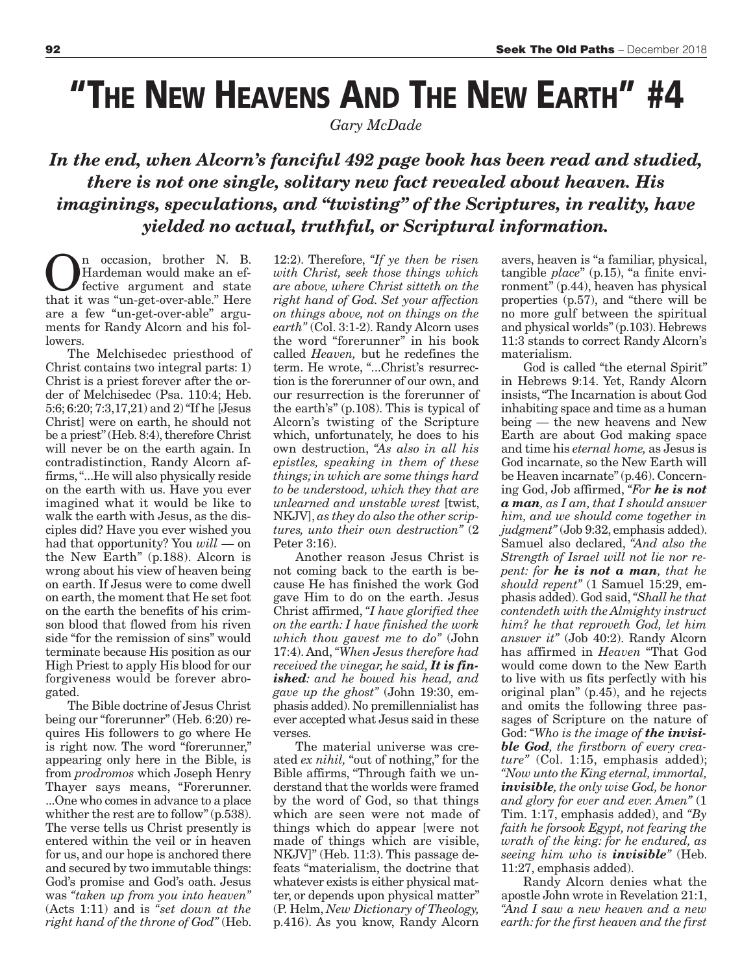## **"THE NEW HEAVENS AND THE NEW EARTH" #4**

*Gary McDade*

### *In the end, when Alcorn's fanciful 492 page book has been read and studied, there is not one single, solitary new fact revealed about heaven. His imaginings, speculations, and "twisting" of the Scriptures, in reality, have yielded no actual, truthful, or Scriptural information.*

**On** occasion, brother N. B.<br>
fective argument and state<br>
that it was "un-got-over-able" Here Hardeman would make an efthat it was "un-get-over-able." Here are a few "un-get-over-able" arguments for Randy Alcorn and his followers.

The Melchisedec priesthood of Christ contains two integral parts: 1) Christ is a priest forever after the order of Melchisedec (Psa. 110:4; Heb. 5:6; 6:20; 7:3,17,21) and 2) "If he [Jesus Christ] were on earth, he should not be a priest" (Heb. 8:4), therefore Christ will never be on the earth again. In contradistinction, Randy Alcorn affirms, "...He will also physically reside on the earth with us. Have you ever imagined what it would be like to walk the earth with Jesus, as the disciples did? Have you ever wished you had that opportunity? You *will* — on the New Earth" (p.188). Alcorn is wrong about his view of heaven being on earth. If Jesus were to come dwell on earth, the moment that He set foot on the earth the benefits of his crimson blood that flowed from his riven side "for the remission of sins" would terminate because His position as our High Priest to apply His blood for our forgiveness would be forever abrogated.

The Bible doctrine of Jesus Christ being our "forerunner" (Heb. 6:20) requires His followers to go where He is right now. The word "forerunner," appearing only here in the Bible, is from *prodromos* which Joseph Henry Thayer says means, "Forerunner. ...One who comes in advance to a place whither the rest are to follow" (p.538). The verse tells us Christ presently is entered within the veil or in heaven for us, and our hope is anchored there and secured by two immutable things: God's promise and God's oath. Jesus was *"taken up from you into heaven"* (Acts 1:11) and is *"set down at the right hand of the throne of God"* (Heb. 12:2). Therefore, *"If ye then be risen with Christ, seek those things which are above, where Christ sitteth on the right hand of God. Set your affection on things above, not on things on the earth"* (Col. 3:1-2). Randy Alcorn uses the word "forerunner" in his book called *Heaven,* but he redefines the term. He wrote, "...Christ's resurrection is the forerunner of our own, and our resurrection is the forerunner of the earth's" (p.108). This is typical of Alcorn's twisting of the Scripture which, unfortunately, he does to his own destruction, *"As also in all his epistles, speaking in them of these things; in which are some things hard to be understood, which they that are unlearned and unstable wrest* [twist, NKJV], *as they do also the other scriptures, unto their own destruction"* (2 Peter 3:16).

Another reason Jesus Christ is not coming back to the earth is because He has finished the work God gave Him to do on the earth. Jesus Christ affirmed, *"I have glorified thee on the earth: I have finished the work which thou gavest me to do"* (John 17:4). And, *"When Jesus therefore had received the vinegar, he said, It is finished: and he bowed his head, and gave up the ghost"* (John 19:30, emphasis added). No premillennialist has ever accepted what Jesus said in these verses.

The material universe was created *ex nihil,* "out of nothing," for the Bible affirms, "Through faith we understand that the worlds were framed by the word of God, so that things which are seen were not made of things which do appear [were not made of things which are visible, NKJV]" (Heb. 11:3). This passage defeats "materialism, the doctrine that whatever exists is either physical matter, or depends upon physical matter" (P. Helm, *New Dictionary of Theology,* p.416). As you know, Randy Alcorn

avers, heaven is "a familiar, physical, tangible *place*" (p.15), "a finite environment" (p.44), heaven has physical properties (p.57), and "there will be no more gulf between the spiritual and physical worlds" (p.103). Hebrews 11:3 stands to correct Randy Alcorn's materialism.

God is called "the eternal Spirit" in Hebrews 9:14. Yet, Randy Alcorn insists, "The Incarnation is about God inhabiting space and time as a human being — the new heavens and New Earth are about God making space and time his *eternal home,* as Jesus is God incarnate, so the New Earth will be Heaven incarnate" (p.46). Concerning God, Job affirmed, *"For he is not a man, as I am, that I should answer him, and we should come together in judgment"* (Job 9:32, emphasis added). Samuel also declared, *"And also the Strength of Israel will not lie nor repent: for he is not a man, that he should repent"* (1 Samuel 15:29, emphasis added). God said, *"Shall he that contendeth with the Almighty instruct him? he that reproveth God, let him answer it"* (Job 40:2). Randy Alcorn has affirmed in *Heaven* "That God would come down to the New Earth to live with us fits perfectly with his original plan" (p.45), and he rejects and omits the following three passages of Scripture on the nature of God: *"Who is the image of the invisible God, the firstborn of every creature"* (Col. 1:15, emphasis added); *"Now unto the King eternal, immortal, invisible, the only wise God, be honor and glory for ever and ever. Amen"* (1 Tim. 1:17, emphasis added), and *"By faith he forsook Egypt, not fearing the wrath of the king: for he endured, as seeing him who is invisible"* (Heb. 11:27, emphasis added).

Randy Alcorn denies what the apostle John wrote in Revelation 21:1, *"And I saw a new heaven and a new earth: for the first heaven and the first*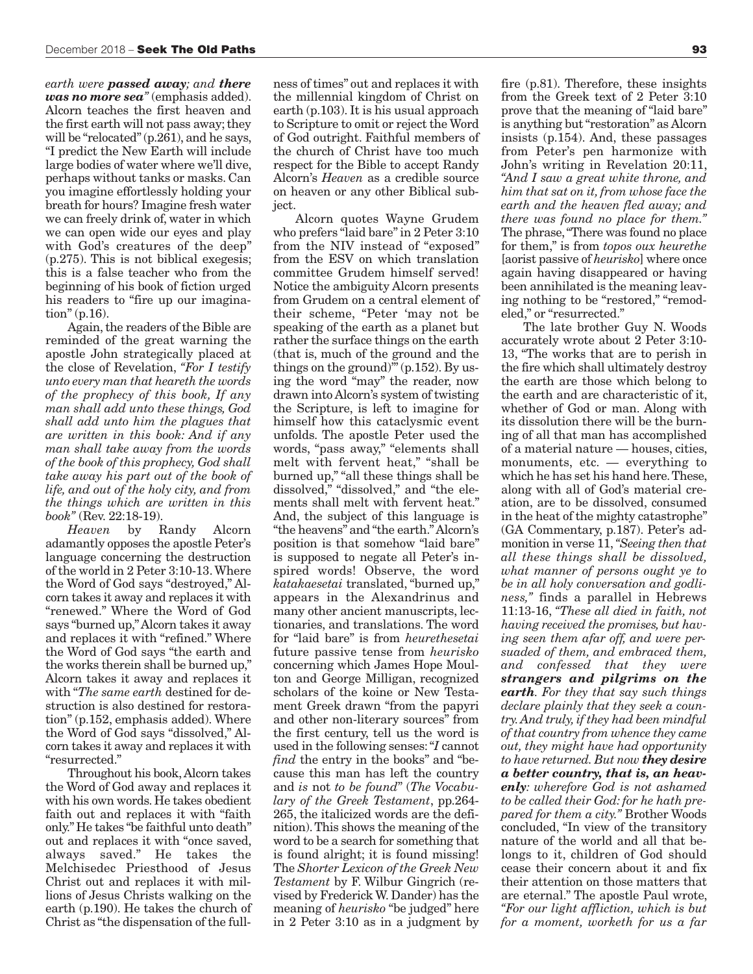*earth were passed away; and there was no more sea"* (emphasis added). Alcorn teaches the first heaven and the first earth will not pass away; they will be "relocated" (p.261), and he says, "I predict the New Earth will include large bodies of water where we'll dive, perhaps without tanks or masks. Can you imagine effortlessly holding your breath for hours? Imagine fresh water we can freely drink of, water in which we can open wide our eyes and play with God's creatures of the deep" (p.275). This is not biblical exegesis; this is a false teacher who from the beginning of his book of fiction urged his readers to "fire up our imagination" (p.16).

Again, the readers of the Bible are reminded of the great warning the apostle John strategically placed at the close of Revelation, *"For I testify unto every man that heareth the words of the prophecy of this book, If any man shall add unto these things, God shall add unto him the plagues that are written in this book: And if any man shall take away from the words of the book of this prophecy, God shall take away his part out of the book of life, and out of the holy city, and from the things which are written in this book"* (Rev. 22:18-19).

*Heaven* by Randy Alcorn adamantly opposes the apostle Peter's language concerning the destruction of the world in 2 Peter 3:10-13. Where the Word of God says "destroyed," Alcorn takes it away and replaces it with "renewed." Where the Word of God says "burned up," Alcorn takes it away and replaces it with "refined." Where the Word of God says "the earth and the works therein shall be burned up," Alcorn takes it away and replaces it with "*The same earth* destined for destruction is also destined for restoration" (p.152, emphasis added). Where the Word of God says "dissolved," Alcorn takes it away and replaces it with "resurrected."

Throughout his book, Alcorn takes the Word of God away and replaces it with his own words. He takes obedient faith out and replaces it with "faith only." He takes "be faithful unto death" out and replaces it with "once saved, always saved." He takes the Melchisedec Priesthood of Jesus Christ out and replaces it with millions of Jesus Christs walking on the earth (p.190). He takes the church of Christ as "the dispensation of the full-

ness of times" out and replaces it with the millennial kingdom of Christ on earth (p.103). It is his usual approach to Scripture to omit or reject the Word of God outright. Faithful members of the church of Christ have too much respect for the Bible to accept Randy Alcorn's *Heaven* as a credible source on heaven or any other Biblical subject.

Alcorn quotes Wayne Grudem who prefers "laid bare" in 2 Peter 3:10 from the NIV instead of "exposed" from the ESV on which translation committee Grudem himself served! Notice the ambiguity Alcorn presents from Grudem on a central element of their scheme, "Peter 'may not be speaking of the earth as a planet but rather the surface things on the earth (that is, much of the ground and the things on the ground)"  $(p.152)$ . By using the word "may" the reader, now drawn into Alcorn's system of twisting the Scripture, is left to imagine for himself how this cataclysmic event unfolds. The apostle Peter used the words, "pass away," "elements shall melt with fervent heat," "shall be burned up," "all these things shall be dissolved," "dissolved," and "the elements shall melt with fervent heat." And, the subject of this language is "the heavens" and "the earth." Alcorn's position is that somehow "laid bare" is supposed to negate all Peter's inspired words! Observe, the word *katakaesetai* translated, "burned up," appears in the Alexandrinus and many other ancient manuscripts, lectionaries, and translations. The word for "laid bare" is from *heurethesetai* future passive tense from *heurisko* concerning which James Hope Moulton and George Milligan, recognized scholars of the koine or New Testament Greek drawn "from the papyri and other non-literary sources" from the first century, tell us the word is used in the following senses: "*I* cannot *find* the entry in the books" and "because this man has left the country and *is* not *to be found*" (*The Vocabulary of the Greek Testament*, pp.264- 265, the italicized words are the definition). This shows the meaning of the word to be a search for something that is found alright; it is found missing! The *Shorter Lexicon of the Greek New Testament* by F. Wilbur Gingrich (revised by Frederick W. Dander) has the meaning of *heurisko* "be judged" here in 2 Peter 3:10 as in a judgment by

fire (p.81). Therefore, these insights from the Greek text of 2 Peter 3:10 prove that the meaning of "laid bare" is anything but "restoration" as Alcorn insists (p.154). And, these passages from Peter's pen harmonize with John's writing in Revelation 20:11, *"And I saw a great white throne, and him that sat on it, from whose face the earth and the heaven fled away; and there was found no place for them."* The phrase, "There was found no place for them," is from *topos oux heurethe* [aorist passive of *heurisko*] where once again having disappeared or having been annihilated is the meaning leaving nothing to be "restored," "remodeled," or "resurrected."

The late brother Guy N. Woods accurately wrote about 2 Peter 3:10- 13, "The works that are to perish in the fire which shall ultimately destroy the earth are those which belong to the earth and are characteristic of it, whether of God or man. Along with its dissolution there will be the burning of all that man has accomplished of a material nature — houses, cities, monuments, etc. — everything to which he has set his hand here. These, along with all of God's material creation, are to be dissolved, consumed in the heat of the mighty catastrophe" (GA Commentary, p.187). Peter's admonition in verse 11, *"Seeing then that all these things shall be dissolved, what manner of persons ought ye to be in all holy conversation and godliness,"* finds a parallel in Hebrews 11:13-16, *"These all died in faith, not having received the promises, but having seen them afar off, and were persuaded of them, and embraced them, and confessed that they were strangers and pilgrims on the earth. For they that say such things declare plainly that they seek a country. And truly, if they had been mindful of that country from whence they came out, they might have had opportunity to have returned. But now they desire a better country, that is, an heavenly: wherefore God is not ashamed to be called their God: for he hath prepared for them a city."* Brother Woods concluded, "In view of the transitory nature of the world and all that belongs to it, children of God should cease their concern about it and fix their attention on those matters that are eternal." The apostle Paul wrote, *"For our light affliction, which is but for a moment, worketh for us a far*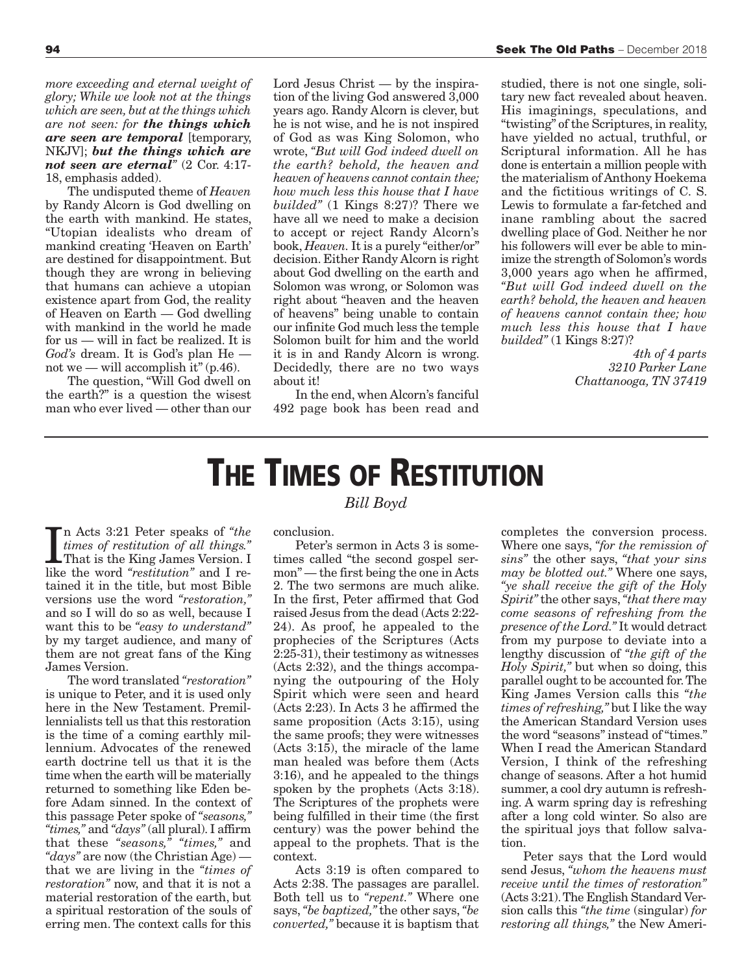*more exceeding and eternal weight of glory; While we look not at the things which are seen, but at the things which are not seen: for the things which are seen are temporal* [temporary, NKJV]; *but the things which are not seen are eternal"* (2 Cor. 4:17- 18, emphasis added).

The undisputed theme of *Heaven* by Randy Alcorn is God dwelling on the earth with mankind. He states, "Utopian idealists who dream of mankind creating 'Heaven on Earth' are destined for disappointment. But though they are wrong in believing that humans can achieve a utopian existence apart from God, the reality of Heaven on Earth — God dwelling with mankind in the world he made for us — will in fact be realized. It is *God's* dream. It is God's plan He not we — will accomplish it"  $(p.46)$ .

The question, "Will God dwell on the earth?" is a question the wisest man who ever lived — other than our Lord Jesus Christ — by the inspiration of the living God answered 3,000 years ago. Randy Alcorn is clever, but he is not wise, and he is not inspired of God as was King Solomon, who wrote, *"But will God indeed dwell on the earth? behold, the heaven and heaven of heavens cannot contain thee; how much less this house that I have builded"* (1 Kings 8:27)? There we have all we need to make a decision to accept or reject Randy Alcorn's book, *Heaven.* It is a purely "either/or" decision. Either Randy Alcorn is right about God dwelling on the earth and Solomon was wrong, or Solomon was right about "heaven and the heaven of heavens" being unable to contain our infinite God much less the temple Solomon built for him and the world it is in and Randy Alcorn is wrong. Decidedly, there are no two ways about it!

In the end, when Alcorn's fanciful 492 page book has been read and

studied, there is not one single, solitary new fact revealed about heaven. His imaginings, speculations, and "twisting" of the Scriptures, in reality, have yielded no actual, truthful, or Scriptural information. All he has done is entertain a million people with the materialism of Anthony Hoekema and the fictitious writings of C. S. Lewis to formulate a far-fetched and inane rambling about the sacred dwelling place of God. Neither he nor his followers will ever be able to minimize the strength of Solomon's words 3,000 years ago when he affirmed, *"But will God indeed dwell on the earth? behold, the heaven and heaven of heavens cannot contain thee; how much less this house that I have builded"* (1 Kings 8:27)?

> *4th of 4 parts 3210 Parker Lane Chattanooga, TN 37419*

## **THE TIMES OF RESTITUTION**

*Bill Boyd*

In Acts 3:21 Peter speaks of *"the times of restitution of all things."*<br>That is the King James Version. I like the word *"restitution"* and I ren Acts 3:21 Peter speaks of *"the times of restitution of all things."* That is the King James Version. I tained it in the title, but most Bible versions use the word *"restoration,"* and so I will do so as well, because I want this to be *"easy to understand"* by my target audience, and many of them are not great fans of the King James Version.

The word translated *"restoration"* is unique to Peter, and it is used only here in the New Testament. Premillennialists tell us that this restoration is the time of a coming earthly millennium. Advocates of the renewed earth doctrine tell us that it is the time when the earth will be materially returned to something like Eden before Adam sinned. In the context of this passage Peter spoke of *"seasons," "times,"* and *"days"* (all plural). I affirm that these *"seasons," "times,"* and *"days"* are now (the Christian Age) that we are living in the *"times of restoration"* now, and that it is not a material restoration of the earth, but a spiritual restoration of the souls of erring men. The context calls for this

#### conclusion.

Peter's sermon in Acts 3 is sometimes called "the second gospel sermon" — the first being the one in Acts 2. The two sermons are much alike. In the first, Peter affirmed that God raised Jesus from the dead (Acts 2:22- 24). As proof, he appealed to the prophecies of the Scriptures (Acts 2:25-31), their testimony as witnesses (Acts 2:32), and the things accompanying the outpouring of the Holy Spirit which were seen and heard (Acts 2:23). In Acts 3 he affirmed the same proposition (Acts 3:15), using the same proofs; they were witnesses (Acts 3:15), the miracle of the lame man healed was before them (Acts 3:16), and he appealed to the things spoken by the prophets (Acts 3:18). The Scriptures of the prophets were being fulfilled in their time (the first century) was the power behind the appeal to the prophets. That is the context.

Acts 3:19 is often compared to Acts 2:38. The passages are parallel. Both tell us to *"repent."* Where one says, *"be baptized,"* the other says, *"be converted,"* because it is baptism that

completes the conversion process. Where one says, *"for the remission of sins"* the other says, *"that your sins may be blotted out."* Where one says, *"ye shall receive the gift of the Holy Spirit"* the other says, *"that there may come seasons of refreshing from the presence of the Lord."* It would detract from my purpose to deviate into a lengthy discussion of *"the gift of the Holy Spirit,"* but when so doing, this parallel ought to be accounted for. The King James Version calls this *"the times of refreshing,"* but I like the way the American Standard Version uses the word "seasons" instead of "times." When I read the American Standard Version, I think of the refreshing change of seasons. After a hot humid summer, a cool dry autumn is refreshing. A warm spring day is refreshing after a long cold winter. So also are the spiritual joys that follow salvation.

Peter says that the Lord would send Jesus, *"whom the heavens must receive until the times of restoration"* (Acts 3:21). The English Standard Version calls this *"the time* (singular) *for restoring all things,"* the New Ameri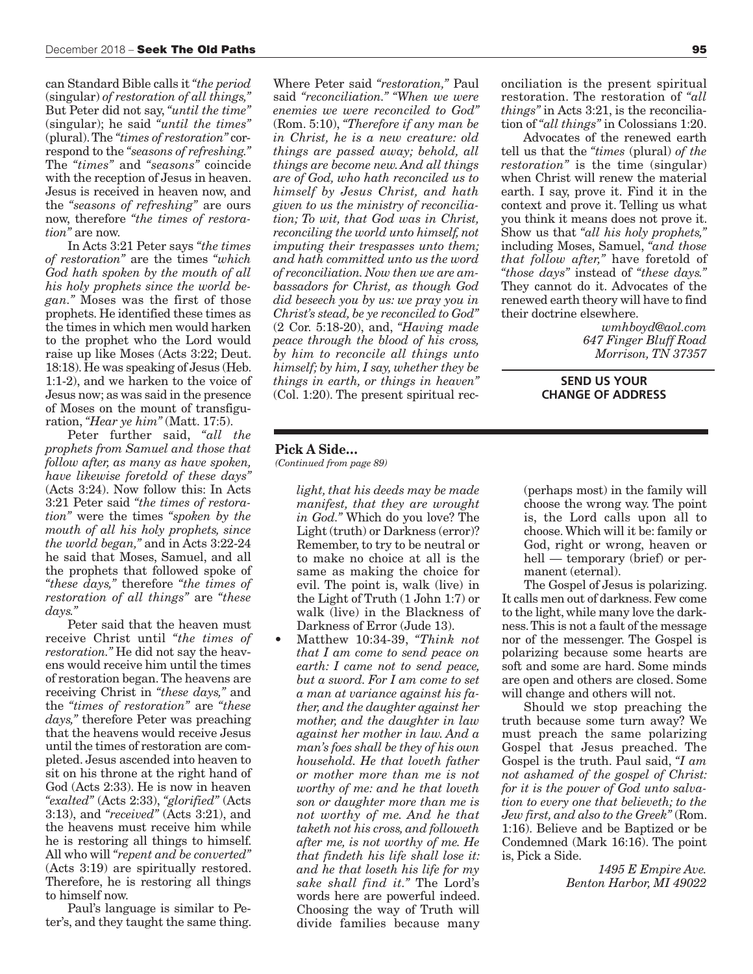can Standard Bible calls it *"the period* (singular) *of restoration of all things,"* But Peter did not say, *"until the time"* (singular); he said *"until the times"* (plural). The *"times of restoration"* correspond to the *"seasons of refreshing."* The *"times"* and *"seasons"* coincide with the reception of Jesus in heaven. Jesus is received in heaven now, and the *"seasons of refreshing"* are ours now, therefore *"the times of restoration"* are now.

In Acts 3:21 Peter says *"the times of restoration"* are the times *"which God hath spoken by the mouth of all his holy prophets since the world began."* Moses was the first of those prophets. He identified these times as the times in which men would harken to the prophet who the Lord would raise up like Moses (Acts 3:22; Deut. 18:18). He was speaking of Jesus (Heb. 1:1-2), and we harken to the voice of Jesus now; as was said in the presence of Moses on the mount of transfiguration, *"Hear ye him"* (Matt. 17:5).

Peter further said, *"all the prophets from Samuel and those that follow after, as many as have spoken, have likewise foretold of these days"* (Acts 3:24). Now follow this: In Acts 3:21 Peter said *"the times of restoration"* were the times *"spoken by the mouth of all his holy prophets, since the world began,"* and in Acts 3:22-24 he said that Moses, Samuel, and all the prophets that followed spoke of *"these days,"* therefore *"the times of restoration of all things"* are *"these days."*

Peter said that the heaven must receive Christ until *"the times of restoration."* He did not say the heavens would receive him until the times of restoration began. The heavens are receiving Christ in *"these days,"* and the *"times of restoration"* are *"these days,"* therefore Peter was preaching that the heavens would receive Jesus until the times of restoration are completed. Jesus ascended into heaven to sit on his throne at the right hand of God (Acts 2:33). He is now in heaven *"exalted"* (Acts 2:33), *"glorified"* (Acts 3:13), and *"received"* (Acts 3:21), and the heavens must receive him while he is restoring all things to himself. All who will *"repent and be converted"* (Acts 3:19) are spiritually restored. Therefore, he is restoring all things to himself now.

Paul's language is similar to Peter's, and they taught the same thing.

Where Peter said *"restoration,"* Paul said *"reconciliation." "When we were enemies we were reconciled to God"* (Rom. 5:10), *"Therefore if any man be in Christ, he is a new creature: old things are passed away; behold, all things are become new. And all things are of God, who hath reconciled us to himself by Jesus Christ, and hath given to us the ministry of reconciliation; To wit, that God was in Christ, reconciling the world unto himself, not imputing their trespasses unto them; and hath committed unto us the word of reconciliation. Now then we are ambassadors for Christ, as though God did beseech you by us: we pray you in Christ's stead, be ye reconciled to God"* (2 Cor. 5:18-20), and, *"Having made peace through the blood of his cross, by him to reconcile all things unto himself; by him, I say, whether they be things in earth, or things in heaven"* (Col. 1:20). The present spiritual rec-

onciliation is the present spiritual restoration. The restoration of *"all things"* in Acts 3:21, is the reconciliation of *"all things"* in Colossians 1:20.

Advocates of the renewed earth tell us that the *"times* (plural) *of the restoration"* is the time (singular) when Christ will renew the material earth. I say, prove it. Find it in the context and prove it. Telling us what you think it means does not prove it. Show us that *"all his holy prophets,"* including Moses, Samuel, *"and those that follow after,"* have foretold of *"those days"* instead of *"these days."* They cannot do it. Advocates of the renewed earth theory will have to find their doctrine elsewhere.

> *wmhboyd@aol.com 647 Finger Bluff Road Morrison, TN 37357*

**SEND US YOUR CHANGE OF ADDRESS**

#### **Pick A Side…**

*(Continued from page 89)*

*light, that his deeds may be made manifest, that they are wrought in God."* Which do you love? The Light (truth) or Darkness (error)? Remember, to try to be neutral or to make no choice at all is the same as making the choice for evil. The point is, walk (live) in the Light of Truth (1 John 1:7) or walk (live) in the Blackness of Darkness of Error (Jude 13).

• Matthew 10:34-39, *"Think not that I am come to send peace on earth: I came not to send peace, but a sword. For I am come to set a man at variance against his father, and the daughter against her mother, and the daughter in law against her mother in law. And a man's foes shall be they of his own household. He that loveth father or mother more than me is not worthy of me: and he that loveth son or daughter more than me is not worthy of me. And he that taketh not his cross, and followeth after me, is not worthy of me. He that findeth his life shall lose it: and he that loseth his life for my sake shall find it."* The Lord's words here are powerful indeed. Choosing the way of Truth will divide families because many (perhaps most) in the family will choose the wrong way. The point is, the Lord calls upon all to choose. Which will it be: family or God, right or wrong, heaven or hell — temporary (brief) or permanent (eternal).

The Gospel of Jesus is polarizing. It calls men out of darkness. Few come to the light, while many love the darkness. This is not a fault of the message nor of the messenger. The Gospel is polarizing because some hearts are soft and some are hard. Some minds are open and others are closed. Some will change and others will not.

Should we stop preaching the truth because some turn away? We must preach the same polarizing Gospel that Jesus preached. The Gospel is the truth. Paul said, *"I am not ashamed of the gospel of Christ: for it is the power of God unto salvation to every one that believeth; to the Jew first, and also to the Greek"* (Rom. 1:16). Believe and be Baptized or be Condemned (Mark 16:16). The point is, Pick a Side.

> *1495 E Empire Ave. Benton Harbor, MI 49022*